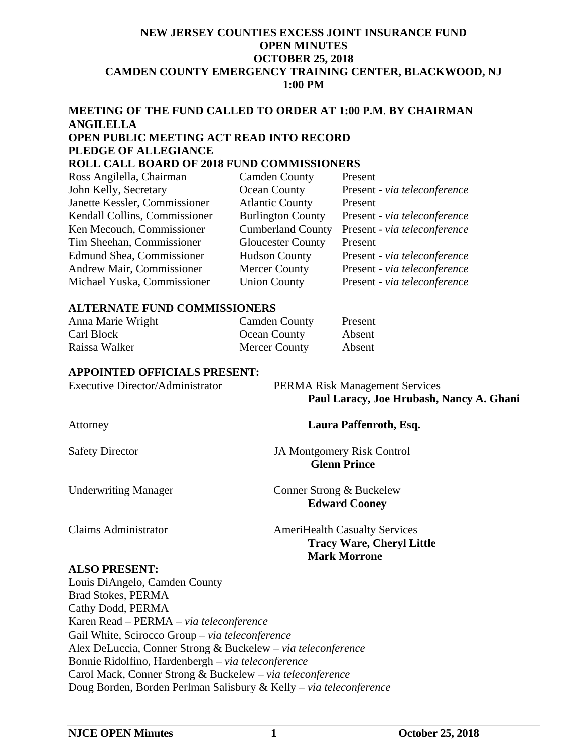#### **NEW JERSEY COUNTIES EXCESS JOINT INSURANCE FUND OPEN MINUTES OCTOBER 25, 2018 CAMDEN COUNTY EMERGENCY TRAINING CENTER, BLACKWOOD, NJ 1:00 PM**

# **MEETING OF THE FUND CALLED TO ORDER AT 1:00 P.M**. **BY CHAIRMAN ANGILELLA OPEN PUBLIC MEETING ACT READ INTO RECORD PLEDGE OF ALLEGIANCE**

# **ROLL CALL BOARD OF 2018 FUND COMMISSIONERS**

| Ross Angilella, Chairman      | <b>Camden County</b>     | Present                      |
|-------------------------------|--------------------------|------------------------------|
| John Kelly, Secretary         | Ocean County             | Present - via teleconference |
| Janette Kessler, Commissioner | <b>Atlantic County</b>   | Present                      |
| Kendall Collins, Commissioner | <b>Burlington County</b> | Present - via teleconference |
| Ken Mecouch, Commissioner     | <b>Cumberland County</b> | Present - via teleconference |
| Tim Sheehan, Commissioner     | <b>Gloucester County</b> | Present                      |
| Edmund Shea, Commissioner     | <b>Hudson County</b>     | Present - via teleconference |
| Andrew Mair, Commissioner     | <b>Mercer County</b>     | Present - via teleconference |
| Michael Yuska, Commissioner   | <b>Union County</b>      | Present - via teleconference |

#### **ALTERNATE FUND COMMISSIONERS**

| Anna Marie Wright | <b>Camden County</b> | Present |
|-------------------|----------------------|---------|
| Carl Block        | Ocean County         | Absent  |
| Raissa Walker     | Mercer County        | Absent  |

#### **APPOINTED OFFICIALS PRESENT:**

| Executive Director/Administrator | <b>PERMA Risk Management Services</b>    |
|----------------------------------|------------------------------------------|
|                                  | Paul Laracy, Joe Hrubash, Nancy A. Ghani |

Attorney **Laura Paffenroth, Esq.**

Safety Director JA Montgomery Risk Control

 **Glenn Prince** 

Underwriting Manager Conner Strong & Buckelew

 **Edward Cooney** 

Claims Administrator **AmeriHealth Casualty Services Tracy Ware, Cheryl Little Mark Morrone** 

#### **ALSO PRESENT:**

Louis DiAngelo, Camden County Brad Stokes, PERMA Cathy Dodd, PERMA Karen Read – PERMA – *via teleconference*  Gail White, Scirocco Group – *via teleconference*  Alex DeLuccia, Conner Strong & Buckelew – *via teleconference*  Bonnie Ridolfino, Hardenbergh – *via teleconference* Carol Mack, Conner Strong & Buckelew – *via teleconference*  Doug Borden, Borden Perlman Salisbury & Kelly – *via teleconference*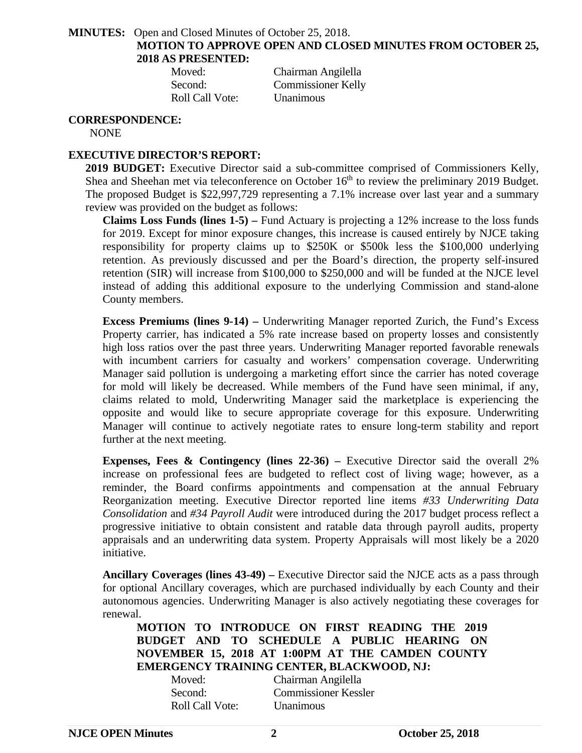**MINUTES:** Open and Closed Minutes of October 25, 2018.

**MOTION TO APPROVE OPEN AND CLOSED MINUTES FROM OCTOBER 25, 2018 AS PRESENTED:** 

 Moved: Chairman Angilella Second: Commissioner Kelly Roll Call Vote: Unanimous

**CORRESPONDENCE:**

NONE

# **EXECUTIVE DIRECTOR'S REPORT:**

**2019 BUDGET:** Executive Director said a sub-committee comprised of Commissioners Kelly, Shea and Sheehan met via teleconference on October 16<sup>th</sup> to review the preliminary 2019 Budget. The proposed Budget is \$22,997,729 representing a 7.1% increase over last year and a summary review was provided on the budget as follows:

**Claims Loss Funds (lines 1-5) –** Fund Actuary is projecting a 12% increase to the loss funds for 2019. Except for minor exposure changes, this increase is caused entirely by NJCE taking responsibility for property claims up to \$250K or \$500k less the \$100,000 underlying retention. As previously discussed and per the Board's direction, the property self-insured retention (SIR) will increase from \$100,000 to \$250,000 and will be funded at the NJCE level instead of adding this additional exposure to the underlying Commission and stand-alone County members.

**Excess Premiums (lines 9-14) –** Underwriting Manager reported Zurich, the Fund's Excess Property carrier, has indicated a 5% rate increase based on property losses and consistently high loss ratios over the past three years. Underwriting Manager reported favorable renewals with incumbent carriers for casualty and workers' compensation coverage. Underwriting Manager said pollution is undergoing a marketing effort since the carrier has noted coverage for mold will likely be decreased. While members of the Fund have seen minimal, if any, claims related to mold, Underwriting Manager said the marketplace is experiencing the opposite and would like to secure appropriate coverage for this exposure. Underwriting Manager will continue to actively negotiate rates to ensure long-term stability and report further at the next meeting.

**Expenses, Fees & Contingency (lines 22-36)** – Executive Director said the overall 2% increase on professional fees are budgeted to reflect cost of living wage; however, as a reminder, the Board confirms appointments and compensation at the annual February Reorganization meeting. Executive Director reported line items *#33 Underwriting Data Consolidation* and *#34 Payroll Audit* were introduced during the 2017 budget process reflect a progressive initiative to obtain consistent and ratable data through payroll audits, property appraisals and an underwriting data system. Property Appraisals will most likely be a 2020 initiative.

**Ancillary Coverages (lines 43-49) –** Executive Director said the NJCE acts as a pass through for optional Ancillary coverages, which are purchased individually by each County and their autonomous agencies. Underwriting Manager is also actively negotiating these coverages for renewal.

**MOTION TO INTRODUCE ON FIRST READING THE 2019 BUDGET AND TO SCHEDULE A PUBLIC HEARING ON NOVEMBER 15, 2018 AT 1:00PM AT THE CAMDEN COUNTY EMERGENCY TRAINING CENTER, BLACKWOOD, NJ:** 

| Moved:          | Chairman Angilella          |
|-----------------|-----------------------------|
| Second:         | <b>Commissioner Kessler</b> |
| Roll Call Vote: | Unanimous                   |

**NJCE OPEN Minutes 2 October 25, 2018**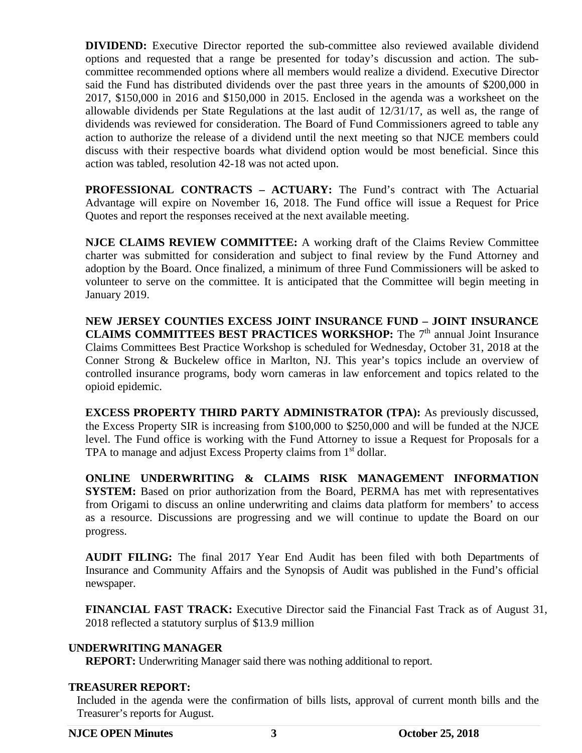**DIVIDEND:** Executive Director reported the sub-committee also reviewed available dividend options and requested that a range be presented for today's discussion and action. The subcommittee recommended options where all members would realize a dividend. Executive Director said the Fund has distributed dividends over the past three years in the amounts of \$200,000 in 2017, \$150,000 in 2016 and \$150,000 in 2015. Enclosed in the agenda was a worksheet on the allowable dividends per State Regulations at the last audit of 12/31/17, as well as, the range of dividends was reviewed for consideration. The Board of Fund Commissioners agreed to table any action to authorize the release of a dividend until the next meeting so that NJCE members could discuss with their respective boards what dividend option would be most beneficial. Since this action was tabled, resolution 42-18 was not acted upon.

**PROFESSIONAL CONTRACTS – ACTUARY:** The Fund's contract with The Actuarial Advantage will expire on November 16, 2018. The Fund office will issue a Request for Price Quotes and report the responses received at the next available meeting.

**NJCE CLAIMS REVIEW COMMITTEE:** A working draft of the Claims Review Committee charter was submitted for consideration and subject to final review by the Fund Attorney and adoption by the Board. Once finalized, a minimum of three Fund Commissioners will be asked to volunteer to serve on the committee. It is anticipated that the Committee will begin meeting in January 2019.

**NEW JERSEY COUNTIES EXCESS JOINT INSURANCE FUND – JOINT INSURANCE CLAIMS COMMITTEES BEST PRACTICES WORKSHOP:** The 7<sup>th</sup> annual Joint Insurance Claims Committees Best Practice Workshop is scheduled for Wednesday, October 31, 2018 at the Conner Strong & Buckelew office in Marlton, NJ. This year's topics include an overview of controlled insurance programs, body worn cameras in law enforcement and topics related to the opioid epidemic.

**EXCESS PROPERTY THIRD PARTY ADMINISTRATOR (TPA):** As previously discussed, the Excess Property SIR is increasing from \$100,000 to \$250,000 and will be funded at the NJCE level. The Fund office is working with the Fund Attorney to issue a Request for Proposals for a TPA to manage and adjust Excess Property claims from 1<sup>st</sup> dollar.

**ONLINE UNDERWRITING & CLAIMS RISK MANAGEMENT INFORMATION SYSTEM:** Based on prior authorization from the Board, PERMA has met with representatives from Origami to discuss an online underwriting and claims data platform for members' to access as a resource. Discussions are progressing and we will continue to update the Board on our progress.

**AUDIT FILING:** The final 2017 Year End Audit has been filed with both Departments of Insurance and Community Affairs and the Synopsis of Audit was published in the Fund's official newspaper.

**FINANCIAL FAST TRACK:** Executive Director said the Financial Fast Track as of August 31, 2018 reflected a statutory surplus of \$13.9 million

#### **UNDERWRITING MANAGER**

**REPORT:** Underwriting Manager said there was nothing additional to report.

## **TREASURER REPORT:**

Included in the agenda were the confirmation of bills lists, approval of current month bills and the Treasurer's reports for August.

#### **NJCE OPEN Minutes 3 October 25, 2018**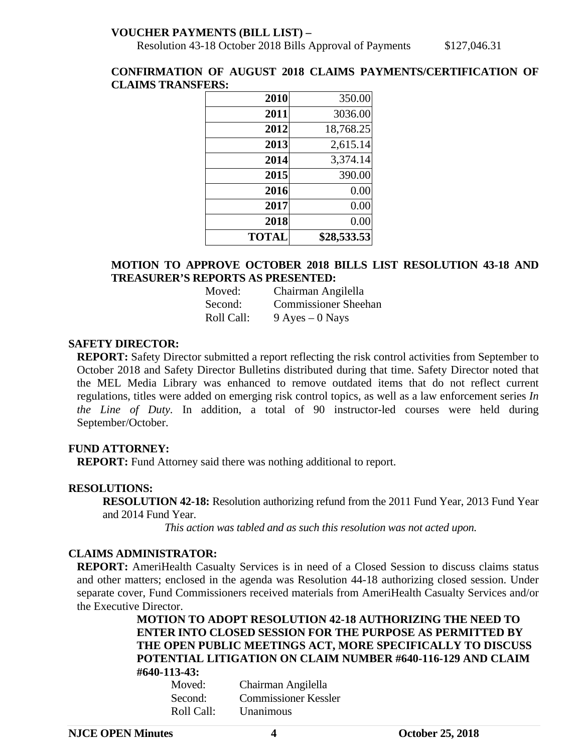## **VOUCHER PAYMENTS (BILL LIST) –**

Resolution 43-18 October 2018 Bills Approval of Payments \$127,046.31

#### **CONFIRMATION OF AUGUST 2018 CLAIMS PAYMENTS/CERTIFICATION OF CLAIMS TRANSFERS:**

| 2010         | 350.00      |
|--------------|-------------|
| 2011         | 3036.00     |
| 2012         | 18,768.25   |
| 2013         | 2,615.14    |
| 2014         | 3,374.14    |
| 2015         | 390.00      |
| 2016         | 0.00        |
| 2017         | 0.00        |
| 2018         | 0.00        |
| <b>TOTAL</b> | \$28,533.53 |

# **MOTION TO APPROVE OCTOBER 2018 BILLS LIST RESOLUTION 43-18 AND TREASURER'S REPORTS AS PRESENTED:**

| Moved:     | Chairman Angilella          |
|------------|-----------------------------|
| Second:    | <b>Commissioner Sheehan</b> |
| Roll Call: | $9$ Ayes $-0$ Nays          |

#### **SAFETY DIRECTOR:**

**REPORT:** Safety Director submitted a report reflecting the risk control activities from September to October 2018 and Safety Director Bulletins distributed during that time. Safety Director noted that the MEL Media Library was enhanced to remove outdated items that do not reflect current regulations, titles were added on emerging risk control topics, as well as a law enforcement series *In the Line of Duty.* In addition, a total of 90 instructor-led courses were held during September/October.

#### **FUND ATTORNEY:**

**REPORT:** Fund Attorney said there was nothing additional to report.

#### **RESOLUTIONS:**

**RESOLUTION 42-18:** Resolution authorizing refund from the 2011 Fund Year, 2013 Fund Year and 2014 Fund Year.

*This action was tabled and as such this resolution was not acted upon.* 

#### **CLAIMS ADMINISTRATOR:**

**REPORT:** AmeriHealth Casualty Services is in need of a Closed Session to discuss claims status and other matters; enclosed in the agenda was Resolution 44-18 authorizing closed session. Under separate cover, Fund Commissioners received materials from AmeriHealth Casualty Services and/or the Executive Director.

# **MOTION TO ADOPT RESOLUTION 42-18 AUTHORIZING THE NEED TO ENTER INTO CLOSED SESSION FOR THE PURPOSE AS PERMITTED BY THE OPEN PUBLIC MEETINGS ACT, MORE SPECIFICALLY TO DISCUSS POTENTIAL LITIGATION ON CLAIM NUMBER #640-116-129 AND CLAIM #640-113-43:**

| Moved:     | Chairman Angilella          |
|------------|-----------------------------|
| Second:    | <b>Commissioner Kessler</b> |
| Roll Call: | <b>Unanimous</b>            |